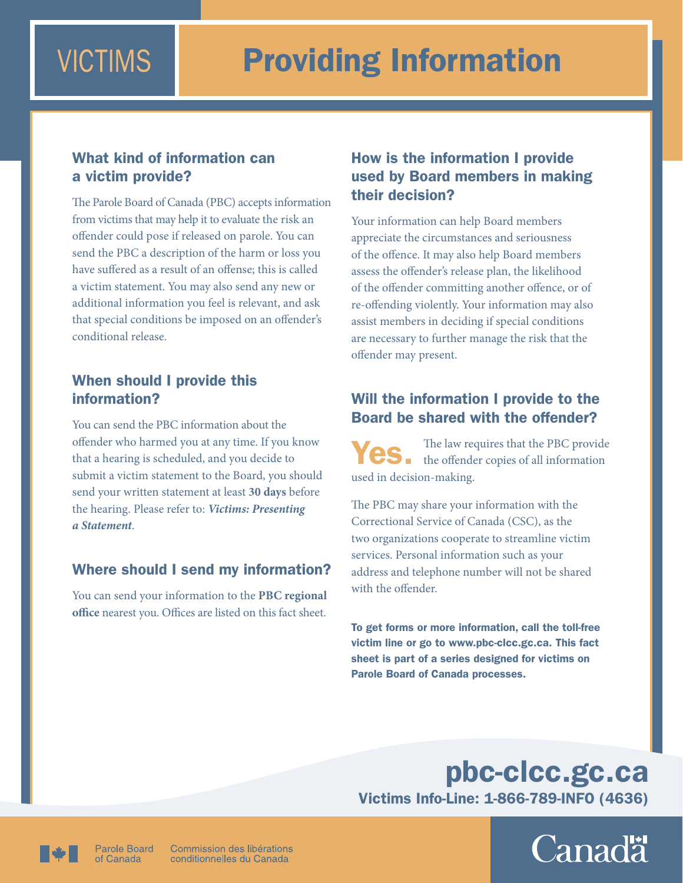# What kind of information can a victim provide?

The Parole Board of Canada (PBC) accepts information from victims that may help it to evaluate the risk an offender could pose if released on parole. You can send the PBC a description of the harm or loss you have suffered as a result of an offense; this is called a victim statement. You may also send any new or additional information you feel is relevant, and ask that special conditions be imposed on an offender's conditional release.

# When should I provide this information?

You can send the PBC information about the offender who harmed you at any time. If you know that a hearing is scheduled, and you decide to submit a victim statement to the Board, you should send your written statement at least **30 days** before the hearing. Please refer to: *[Victims: Presenting](http://www.pbc-clcc.gc.ca/infocntr/factsh/pas-pud-eng.shtml)  [a Statement](http://www.pbc-clcc.gc.ca/infocntr/factsh/pas-pud-eng.shtml)*.

# Where should I send my information?

You can send your information to the **[PBC regional](http://www.pbc-clcc.gc.ca/contus/offices-eng.shtml)  [office](http://www.pbc-clcc.gc.ca/contus/offices-eng.shtml)** nearest you. Offices are listed on this fact sheet.

# How is the information I provide used by Board members in making their decision?

Your information can help Board members appreciate the circumstances and seriousness of the offence. It may also help Board members assess the offender's release plan, the likelihood of the offender committing another offence, or of re-offending violently. Your information may also assist members in deciding if special conditions are necessary to further manage the risk that the offender may present.

# Will the information I provide to the Board be shared with the offender?

Yes. The law requires that the PBC provide<br>the offender copies of all information used in decision-making.

The PBC may share your information with the Correctional Service of Canada (CSC), as the two organizations cooperate to streamline victim services. Personal information such as your address and telephone number will not be shared with the offender.

To get forms or more information, call the toll-free victim line or go t[o www.pbc-clcc.gc.ca](http://www.pbc-clcc.gc.ca/index-eng.shtml). This fact sheet is part of a series designed for victims on Parole Board of Canada processes.

# [pbc-clcc.gc.ca](http://www.pbc-clcc.gc.ca) Victims Info-Line: 1-866-789-INFO (4636)